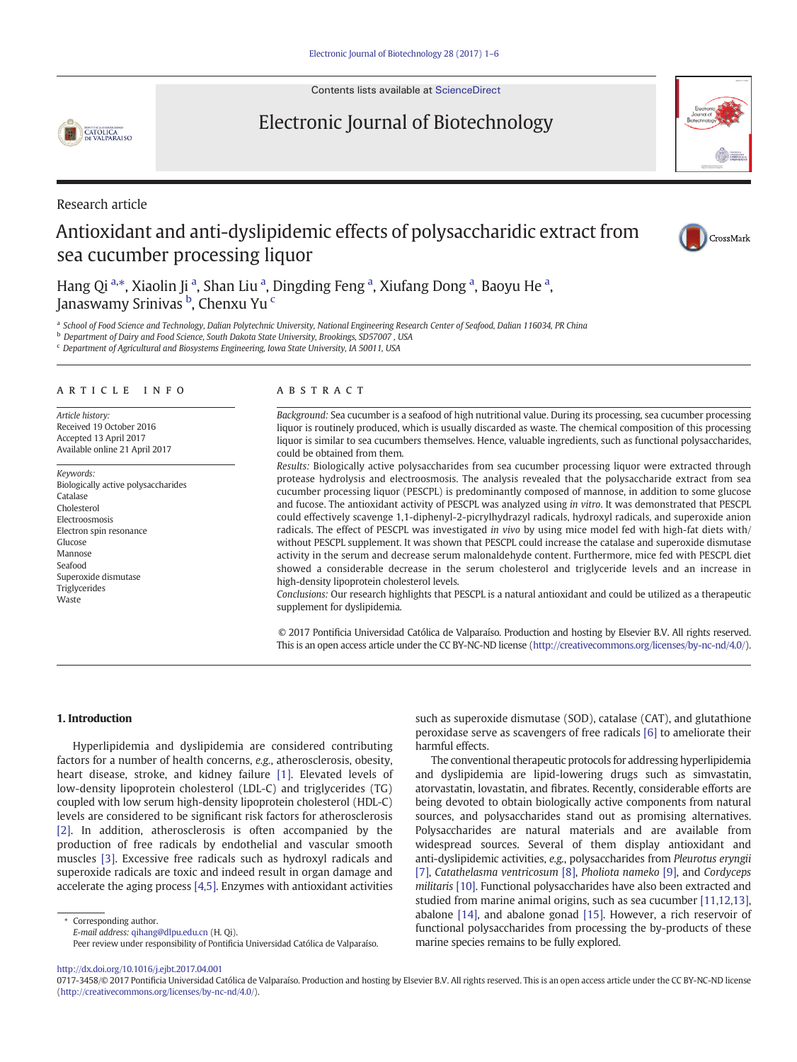Contents lists available at [ScienceDirect](http://www.sciencedirect.com/science/journal/)

# Electronic Journal of Biotechnology

Research article

CATOLICA

# Antioxidant and anti-dyslipidemic effects of polysaccharidic extract from sea cucumber processing liquor



Hang Qi a,\*, Xiaolin Ji a, Shan Liu a, Dingding Feng a, Xiufang Dong a, Baoyu He a, Janaswamy Srinivas <sup>b</sup>, Chenxu Yu <sup>c</sup>

a School of Food Science and Technology, Dalian Polytechnic University, National Engineering Research Center of Seafood, Dalian 116034, PR China

<sup>b</sup> Department of Dairy and Food Science, South Dakota State University, Brookings, SD57007 , USA

<sup>c</sup> Department of Agricultural and Biosystems Engineering, Iowa State University, IA 50011, USA

# article info abstract

Article history: Received 19 October 2016 Accepted 13 April 2017 Available online 21 April 2017

Keywords: Biologically active polysaccharides Catalase Cholesterol Electroosmosis Electron spin resonance Glucose Mannose Seafood Superoxide dismutase Triglycerides **Waste** 

Background: Sea cucumber is a seafood of high nutritional value. During its processing, sea cucumber processing liquor is routinely produced, which is usually discarded as waste. The chemical composition of this processing liquor is similar to sea cucumbers themselves. Hence, valuable ingredients, such as functional polysaccharides, could be obtained from them.

Results: Biologically active polysaccharides from sea cucumber processing liquor were extracted through protease hydrolysis and electroosmosis. The analysis revealed that the polysaccharide extract from sea cucumber processing liquor (PESCPL) is predominantly composed of mannose, in addition to some glucose and fucose. The antioxidant activity of PESCPL was analyzed using in vitro. It was demonstrated that PESCPL could effectively scavenge 1,1-diphenyl-2-picrylhydrazyl radicals, hydroxyl radicals, and superoxide anion radicals. The effect of PESCPL was investigated in vivo by using mice model fed with high-fat diets with/ without PESCPL supplement. It was shown that PESCPL could increase the catalase and superoxide dismutase activity in the serum and decrease serum malonaldehyde content. Furthermore, mice fed with PESCPL diet showed a considerable decrease in the serum cholesterol and triglyceride levels and an increase in high-density lipoprotein cholesterol levels.

Conclusions: Our research highlights that PESCPL is a natural antioxidant and could be utilized as a therapeutic supplement for dyslipidemia.

© 2017 Pontificia Universidad Católica de Valparaíso. Production and hosting by Elsevier B.V. All rights reserved. This is an open access article under the CC BY-NC-ND license [\(http://creativecommons.org/licenses/by-nc-nd/4.0/\)](http://creativecommons.org/licenses/by-nc-nd/4.0/).

### 1. Introduction

Hyperlipidemia and dyslipidemia are considered contributing factors for a number of health concerns, e.g., atherosclerosis, obesity, heart disease, stroke, and kidney failure [\[1\]](#page-5-0). Elevated levels of low-density lipoprotein cholesterol (LDL-C) and triglycerides (TG) coupled with low serum high-density lipoprotein cholesterol (HDL-C) levels are considered to be significant risk factors for atherosclerosis [\[2\].](#page-5-0) In addition, atherosclerosis is often accompanied by the production of free radicals by endothelial and vascular smooth muscles [\[3\]](#page-5-0). Excessive free radicals such as hydroxyl radicals and superoxide radicals are toxic and indeed result in organ damage and accelerate the aging process [\[4,5\]](#page-5-0). Enzymes with antioxidant activities

Corresponding author.

Peer review under responsibility of Pontificia Universidad Católica de Valparaíso.

such as superoxide dismutase (SOD), catalase (CAT), and glutathione peroxidase serve as scavengers of free radicals [\[6\]](#page-5-0) to ameliorate their harmful effects.

The conventional therapeutic protocols for addressing hyperlipidemia and dyslipidemia are lipid-lowering drugs such as simvastatin, atorvastatin, lovastatin, and fibrates. Recently, considerable efforts are being devoted to obtain biologically active components from natural sources, and polysaccharides stand out as promising alternatives. Polysaccharides are natural materials and are available from widespread sources. Several of them display antioxidant and anti-dyslipidemic activities, e.g., polysaccharides from Pleurotus eryngii [\[7\],](#page-5-0) Catathelasma ventricosum [\[8\]](#page-5-0), Pholiota nameko [\[9\],](#page-5-0) and Cordyceps militaris [\[10\]](#page-5-0). Functional polysaccharides have also been extracted and studied from marine animal origins, such as sea cucumber [\[11,12,13\],](#page-5-0) abalone [\[14\],](#page-5-0) and abalone gonad [\[15\].](#page-5-0) However, a rich reservoir of functional polysaccharides from processing the by-products of these marine species remains to be fully explored.

<http://dx.doi.org/10.1016/j.ejbt.2017.04.001>

E-mail address: [qihang@dlpu.edu.cn](mailto:qihang@dlpu.edu.cn) (H. Qi).

<sup>0717-3458/© 2017</sup> Pontificia Universidad Católica de Valparaíso. Production and hosting by Elsevier B.V. All rights reserved. This is an open access article under the CC BY-NC-ND license [\(http://creativecommons.org/licenses/by-nc-nd/4.0/\)](http://creativecommons.org/licenses/by-nc-nd/4.0/).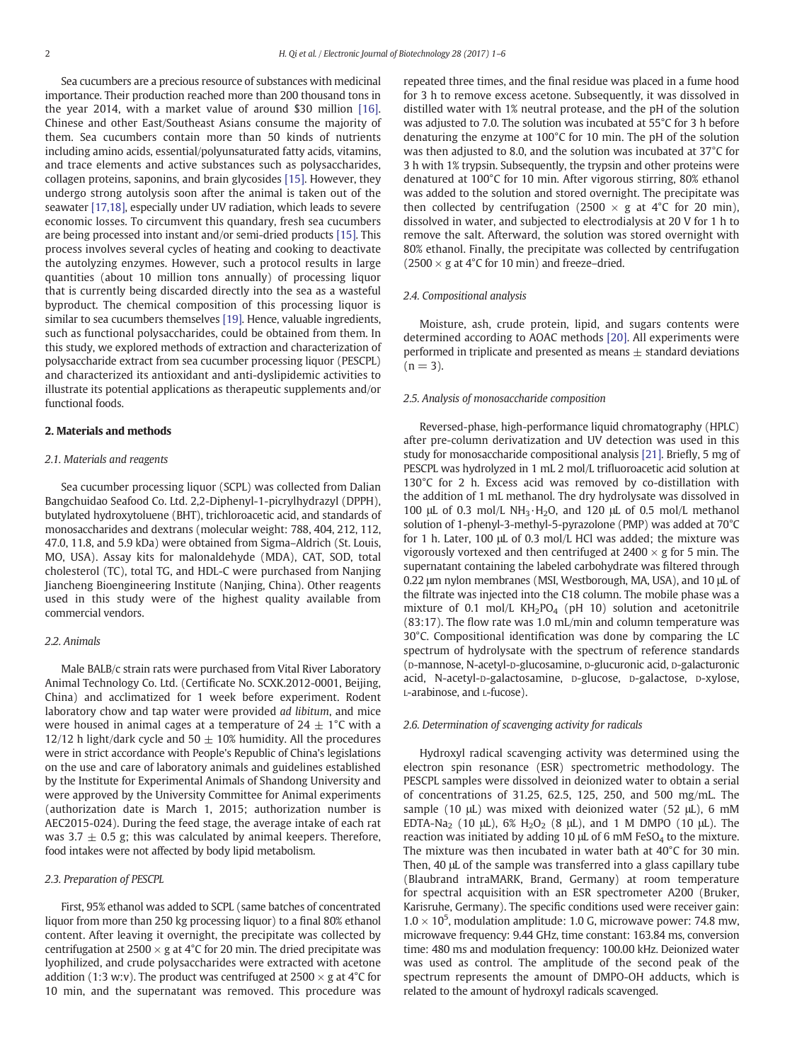Sea cucumbers are a precious resource of substances with medicinal importance. Their production reached more than 200 thousand tons in the year 2014, with a market value of around \$30 million [\[16\].](#page-5-0) Chinese and other East/Southeast Asians consume the majority of them. Sea cucumbers contain more than 50 kinds of nutrients including amino acids, essential/polyunsaturated fatty acids, vitamins, and trace elements and active substances such as polysaccharides, collagen proteins, saponins, and brain glycosides [\[15\].](#page-5-0) However, they undergo strong autolysis soon after the animal is taken out of the seawater [\[17,18\]](#page-5-0), especially under UV radiation, which leads to severe economic losses. To circumvent this quandary, fresh sea cucumbers are being processed into instant and/or semi-dried products [\[15\].](#page-5-0) This process involves several cycles of heating and cooking to deactivate the autolyzing enzymes. However, such a protocol results in large quantities (about 10 million tons annually) of processing liquor that is currently being discarded directly into the sea as a wasteful byproduct. The chemical composition of this processing liquor is similar to sea cucumbers themselves [\[19\].](#page-5-0) Hence, valuable ingredients, such as functional polysaccharides, could be obtained from them. In this study, we explored methods of extraction and characterization of polysaccharide extract from sea cucumber processing liquor (PESCPL) and characterized its antioxidant and anti-dyslipidemic activities to illustrate its potential applications as therapeutic supplements and/or functional foods.

#### 2. Materials and methods

# 2.1. Materials and reagents

Sea cucumber processing liquor (SCPL) was collected from Dalian Bangchuidao Seafood Co. Ltd. 2,2-Diphenyl-1-picrylhydrazyl (DPPH), butylated hydroxytoluene (BHT), trichloroacetic acid, and standards of monosaccharides and dextrans (molecular weight: 788, 404, 212, 112, 47.0, 11.8, and 5.9 kDa) were obtained from Sigma–Aldrich (St. Louis, MO, USA). Assay kits for malonaldehyde (MDA), CAT, SOD, total cholesterol (TC), total TG, and HDL-C were purchased from Nanjing Jiancheng Bioengineering Institute (Nanjing, China). Other reagents used in this study were of the highest quality available from commercial vendors.

# 2.2. Animals

Male BALB/c strain rats were purchased from Vital River Laboratory Animal Technology Co. Ltd. (Certificate No. SCXK.2012-0001, Beijing, China) and acclimatized for 1 week before experiment. Rodent laboratory chow and tap water were provided ad libitum, and mice were housed in animal cages at a temperature of  $24 \pm 1^{\circ}$ C with a 12/12 h light/dark cycle and 50  $\pm$  10% humidity. All the procedures were in strict accordance with People's Republic of China's legislations on the use and care of laboratory animals and guidelines established by the Institute for Experimental Animals of Shandong University and were approved by the University Committee for Animal experiments (authorization date is March 1, 2015; authorization number is AEC2015-024). During the feed stage, the average intake of each rat was 3.7  $\pm$  0.5 g; this was calculated by animal keepers. Therefore, food intakes were not affected by body lipid metabolism.

# 2.3. Preparation of PESCPL

First, 95% ethanol was added to SCPL (same batches of concentrated liquor from more than 250 kg processing liquor) to a final 80% ethanol content. After leaving it overnight, the precipitate was collected by centrifugation at 2500  $\times$  g at 4°C for 20 min. The dried precipitate was lyophilized, and crude polysaccharides were extracted with acetone addition (1:3 w:v). The product was centrifuged at 2500  $\times$  g at 4<sup>o</sup>C for 10 min, and the supernatant was removed. This procedure was repeated three times, and the final residue was placed in a fume hood for 3 h to remove excess acetone. Subsequently, it was dissolved in distilled water with 1% neutral protease, and the pH of the solution was adjusted to 7.0. The solution was incubated at 55°C for 3 h before denaturing the enzyme at 100°C for 10 min. The pH of the solution was then adjusted to 8.0, and the solution was incubated at 37°C for 3 h with 1% trypsin. Subsequently, the trypsin and other proteins were denatured at 100°C for 10 min. After vigorous stirring, 80% ethanol was added to the solution and stored overnight. The precipitate was then collected by centrifugation (2500  $\times$  g at 4°C for 20 min), dissolved in water, and subjected to electrodialysis at 20 V for 1 h to remove the salt. Afterward, the solution was stored overnight with 80% ethanol. Finally, the precipitate was collected by centrifugation  $(2500 \times g$  at 4°C for 10 min) and freeze–dried.

#### 2.4. Compositional analysis

Moisture, ash, crude protein, lipid, and sugars contents were determined according to AOAC methods [\[20\].](#page-5-0) All experiments were performed in triplicate and presented as means  $\pm$  standard deviations  $(n = 3)$ .

# 2.5. Analysis of monosaccharide composition

Reversed-phase, high-performance liquid chromatography (HPLC) after pre-column derivatization and UV detection was used in this study for monosaccharide compositional analysis [\[21\]](#page-5-0). Briefly, 5 mg of PESCPL was hydrolyzed in 1 mL 2 mol/L trifluoroacetic acid solution at 130°C for 2 h. Excess acid was removed by co-distillation with the addition of 1 mL methanol. The dry hydrolysate was dissolved in 100 μL of 0.3 mol/L NH3·H2O, and 120 μL of 0.5 mol/L methanol solution of 1-phenyl-3-methyl-5-pyrazolone (PMP) was added at 70°C for 1 h. Later, 100 μL of 0.3 mol/L HCl was added; the mixture was vigorously vortexed and then centrifuged at  $2400 \times g$  for 5 min. The supernatant containing the labeled carbohydrate was filtered through 0.22 μm nylon membranes (MSI, Westborough, MA, USA), and 10 μL of the filtrate was injected into the C18 column. The mobile phase was a mixture of 0.1 mol/L  $KH<sub>2</sub>PO<sub>4</sub>$  (pH 10) solution and acetonitrile (83:17). The flow rate was 1.0 mL/min and column temperature was 30°C. Compositional identification was done by comparing the LC spectrum of hydrolysate with the spectrum of reference standards (D-mannose, N-acetyl-D-glucosamine, D-glucuronic acid, D-galacturonic acid, N-acetyl-D-galactosamine, D-glucose, D-galactose, D-xylose, L-arabinose, and L-fucose).

# 2.6. Determination of scavenging activity for radicals

Hydroxyl radical scavenging activity was determined using the electron spin resonance (ESR) spectrometric methodology. The PESCPL samples were dissolved in deionized water to obtain a serial of concentrations of 31.25, 62.5, 125, 250, and 500 mg/mL. The sample (10  $\mu$ L) was mixed with deionized water (52  $\mu$ L), 6 mM EDTA-Na<sub>2</sub> (10 μL), 6% H<sub>2</sub>O<sub>2</sub> (8 μL), and 1 M DMPO (10 μL). The reaction was initiated by adding 10  $\mu$ L of 6 mM FeSO<sub>4</sub> to the mixture. The mixture was then incubated in water bath at 40°C for 30 min. Then, 40 μL of the sample was transferred into a glass capillary tube (Blaubrand intraMARK, Brand, Germany) at room temperature for spectral acquisition with an ESR spectrometer A200 (Bruker, Karisruhe, Germany). The specific conditions used were receiver gain:  $1.0 \times 10^5$ , modulation amplitude: 1.0 G, microwave power: 74.8 mw, microwave frequency: 9.44 GHz, time constant: 163.84 ms, conversion time: 480 ms and modulation frequency: 100.00 kHz. Deionized water was used as control. The amplitude of the second peak of the spectrum represents the amount of DMPO-OH adducts, which is related to the amount of hydroxyl radicals scavenged.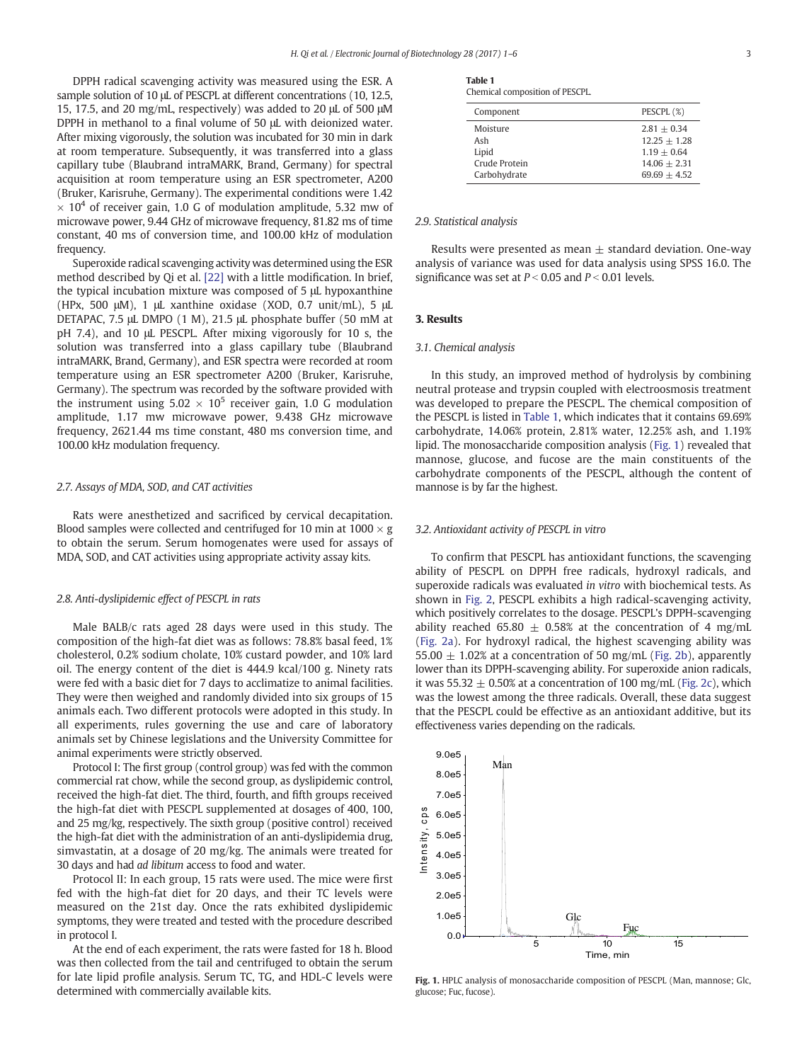DPPH radical scavenging activity was measured using the ESR. A sample solution of 10 μL of PESCPL at different concentrations (10, 12.5, 15, 17.5, and 20 mg/mL, respectively) was added to 20 μL of 500 μM DPPH in methanol to a final volume of 50 μL with deionized water. After mixing vigorously, the solution was incubated for 30 min in dark at room temperature. Subsequently, it was transferred into a glass capillary tube (Blaubrand intraMARK, Brand, Germany) for spectral acquisition at room temperature using an ESR spectrometer, A200 (Bruker, Karisruhe, Germany). The experimental conditions were 1.42  $\times$  10<sup>4</sup> of receiver gain, 1.0 G of modulation amplitude, 5.32 mw of microwave power, 9.44 GHz of microwave frequency, 81.82 ms of time constant, 40 ms of conversion time, and 100.00 kHz of modulation frequency.

Superoxide radical scavenging activity was determined using the ESR method described by Qi et al. [\[22\]](#page-5-0) with a little modification. In brief, the typical incubation mixture was composed of 5 μL hypoxanthine (HPx, 500 μM), 1 μL xanthine oxidase (XOD, 0.7 unit/mL), 5 μL DETAPAC, 7.5 μL DMPO (1 M), 21.5 μL phosphate buffer (50 mM at pH 7.4), and 10 μL PESCPL. After mixing vigorously for 10 s, the solution was transferred into a glass capillary tube (Blaubrand intraMARK, Brand, Germany), and ESR spectra were recorded at room temperature using an ESR spectrometer A200 (Bruker, Karisruhe, Germany). The spectrum was recorded by the software provided with the instrument using  $5.02 \times 10^5$  receiver gain, 1.0 G modulation amplitude, 1.17 mw microwave power, 9.438 GHz microwave frequency, 2621.44 ms time constant, 480 ms conversion time, and 100.00 kHz modulation frequency.

# 2.7. Assays of MDA, SOD, and CAT activities

Rats were anesthetized and sacrificed by cervical decapitation. Blood samples were collected and centrifuged for 10 min at  $1000 \times g$ to obtain the serum. Serum homogenates were used for assays of MDA, SOD, and CAT activities using appropriate activity assay kits.

#### 2.8. Anti-dyslipidemic effect of PESCPL in rats

Male BALB/c rats aged 28 days were used in this study. The composition of the high-fat diet was as follows: 78.8% basal feed, 1% cholesterol, 0.2% sodium cholate, 10% custard powder, and 10% lard oil. The energy content of the diet is 444.9 kcal/100 g. Ninety rats were fed with a basic diet for 7 days to acclimatize to animal facilities. They were then weighed and randomly divided into six groups of 15 animals each. Two different protocols were adopted in this study. In all experiments, rules governing the use and care of laboratory animals set by Chinese legislations and the University Committee for animal experiments were strictly observed.

Protocol I: The first group (control group) was fed with the common commercial rat chow, while the second group, as dyslipidemic control, received the high-fat diet. The third, fourth, and fifth groups received the high-fat diet with PESCPL supplemented at dosages of 400, 100, and 25 mg/kg, respectively. The sixth group (positive control) received the high-fat diet with the administration of an anti-dyslipidemia drug, simvastatin, at a dosage of 20 mg/kg. The animals were treated for 30 days and had ad libitum access to food and water.

Protocol II: In each group, 15 rats were used. The mice were first fed with the high-fat diet for 20 days, and their TC levels were measured on the 21st day. Once the rats exhibited dyslipidemic symptoms, they were treated and tested with the procedure described in protocol I.

At the end of each experiment, the rats were fasted for 18 h. Blood was then collected from the tail and centrifuged to obtain the serum for late lipid profile analysis. Serum TC, TG, and HDL-C levels were determined with commercially available kits.

|--|--|--|--|--|

Chemical composition of PESCPL.

| Component     | PESCPL (%)     |
|---------------|----------------|
| Moisture      | $2.81 + 0.34$  |
| Ash           | $12.25 + 1.28$ |
| Lipid         | $1.19 + 0.64$  |
| Crude Protein | $14.06 + 2.31$ |
| Carbohydrate  | $69.69 + 4.52$ |

#### 2.9. Statistical analysis

Results were presented as mean  $\pm$  standard deviation. One-way analysis of variance was used for data analysis using SPSS 16.0. The significance was set at  $P < 0.05$  and  $P < 0.01$  levels.

# 3. Results

#### 3.1. Chemical analysis

In this study, an improved method of hydrolysis by combining neutral protease and trypsin coupled with electroosmosis treatment was developed to prepare the PESCPL. The chemical composition of the PESCPL is listed in Table 1, which indicates that it contains 69.69% carbohydrate, 14.06% protein, 2.81% water, 12.25% ash, and 1.19% lipid. The monosaccharide composition analysis (Fig. 1) revealed that mannose, glucose, and fucose are the main constituents of the carbohydrate components of the PESCPL, although the content of mannose is by far the highest.

#### 3.2. Antioxidant activity of PESCPL in vitro

To confirm that PESCPL has antioxidant functions, the scavenging ability of PESCPL on DPPH free radicals, hydroxyl radicals, and superoxide radicals was evaluated in vitro with biochemical tests. As shown in [Fig. 2](#page-3-0), PESCPL exhibits a high radical-scavenging activity, which positively correlates to the dosage. PESCPL's DPPH-scavenging ability reached 65.80  $\pm$  0.58% at the concentration of 4 mg/mL [\(Fig. 2a\)](#page-3-0). For hydroxyl radical, the highest scavenging ability was 55.00  $\pm$  1.02% at a concentration of 50 mg/mL [\(Fig. 2b\)](#page-3-0), apparently lower than its DPPH-scavenging ability. For superoxide anion radicals, it was 55.32  $\pm$  0.50% at a concentration of 100 mg/mL ([Fig. 2c](#page-3-0)), which was the lowest among the three radicals. Overall, these data suggest that the PESCPL could be effective as an antioxidant additive, but its effectiveness varies depending on the radicals.



Fig. 1. HPLC analysis of monosaccharide composition of PESCPL (Man, mannose; Glc, glucose; Fuc, fucose).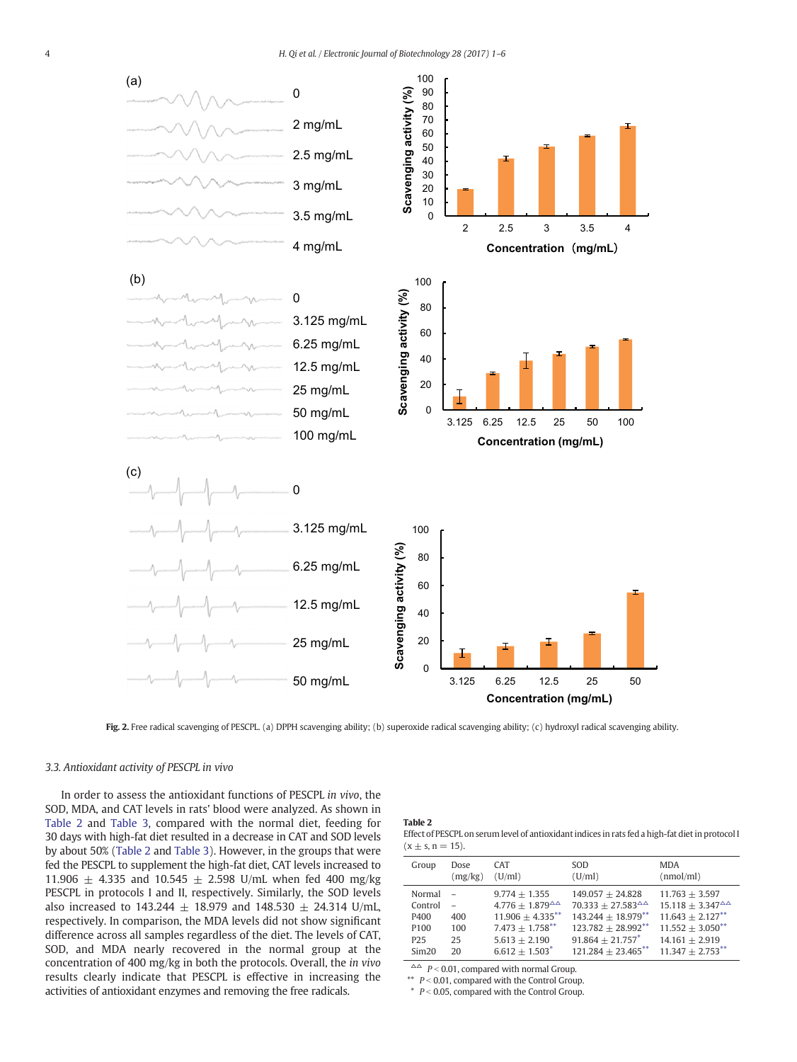<span id="page-3-0"></span>

Fig. 2. Free radical scavenging of PESCPL. (a) DPPH scavenging ability; (b) superoxide radical scavenging ability; (c) hydroxyl radical scavenging ability.

# 3.3. Antioxidant activity of PESCPL in vivo

In order to assess the antioxidant functions of PESCPL in vivo, the SOD, MDA, and CAT levels in rats' blood were analyzed. As shown in Table 2 and [Table 3,](#page-4-0) compared with the normal diet, feeding for 30 days with high-fat diet resulted in a decrease in CAT and SOD levels by about 50% (Table 2 and [Table 3](#page-4-0)). However, in the groups that were fed the PESCPL to supplement the high-fat diet, CAT levels increased to 11.906  $\pm$  4.335 and 10.545  $\pm$  2.598 U/mL when fed 400 mg/kg PESCPL in protocols I and II, respectively. Similarly, the SOD levels also increased to 143.244  $\pm$  18.979 and 148.530  $\pm$  24.314 U/mL, respectively. In comparison, the MDA levels did not show significant difference across all samples regardless of the diet. The levels of CAT, SOD, and MDA nearly recovered in the normal group at the concentration of 400 mg/kg in both the protocols. Overall, the in vivo results clearly indicate that PESCPL is effective in increasing the activities of antioxidant enzymes and removing the free radicals.

# Table 2

Effect of PESCPL on serum level of antioxidant indices in rats fed a high-fat diet in protocol I  $(x \pm s, n = 15)$ .

| Group                                                                     | Dose<br>(mg/kg)        | <b>CAT</b><br>(U/ml)                                                                                                                                | SOD.<br>(U/ml)                                                                                                                                                   | <b>MDA</b><br>(nmol/ml)                                                                                                                        |
|---------------------------------------------------------------------------|------------------------|-----------------------------------------------------------------------------------------------------------------------------------------------------|------------------------------------------------------------------------------------------------------------------------------------------------------------------|------------------------------------------------------------------------------------------------------------------------------------------------|
| Normal<br>Control<br>P400<br>P <sub>100</sub><br>P <sub>25</sub><br>Sim20 | 400<br>100<br>25<br>20 | $9.774 + 1.355$<br>$4.776 + 1.879^{\Delta\Delta}$<br>$11.906 \pm 4.335***$<br>$7.473 + 1.758***$<br>$5.613 + 2.190$<br>$6.612 + 1.503$ <sup>*</sup> | $149.057 + 24.828$<br>$70.333 + 27.583^{\triangle}$<br>$143.244 + 18.979***$<br>$123.782 + 28.992***$<br>$91.864 + 21.757$ <sup>*</sup><br>$121.284 + 23.465$ ** | $11.763 + 3.597$<br>$15.118 + 3.347^{\Delta\Delta}$<br>$11.643 + 2.127$ **<br>$11.552 + 3.050^{**}$<br>$14.161 + 2.919$<br>$11.347 + 2.753***$ |

 $\triangle \triangle$   $P < 0.01$ , compared with normal Group.

\*\*  $P < 0.01$ , compared with the Control Group.

 $*$   $P < 0.05$ , compared with the Control Group.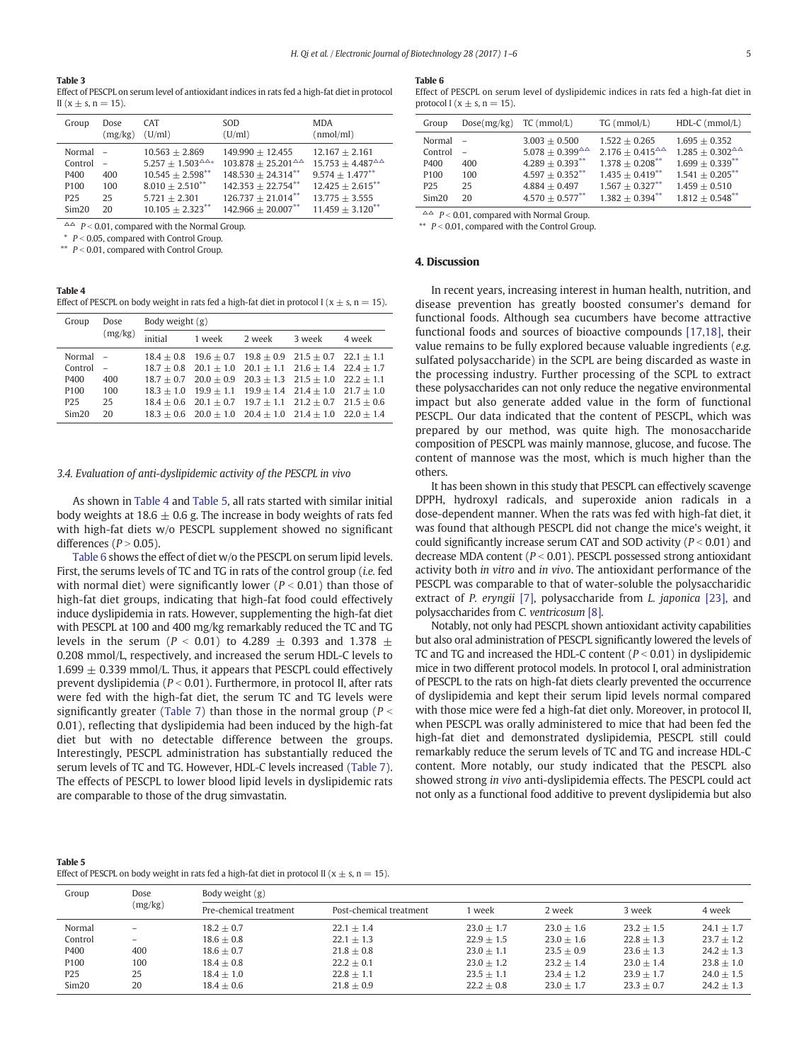#### <span id="page-4-0"></span>Table 3

Effect of PESCPL on serum level of antioxidant indices in rats fed a high-fat diet in protocol II ( $x \pm s$ ,  $n = 15$ ).

| Group                               | Dose<br>(mg/kg) | <b>CAT</b><br>(U/ml)                                                                                       | <b>SOD</b><br>(U/ml)                                                                                        | <b>MDA</b><br>(nmol/ml)                                                                          |
|-------------------------------------|-----------------|------------------------------------------------------------------------------------------------------------|-------------------------------------------------------------------------------------------------------------|--------------------------------------------------------------------------------------------------|
| Normal -<br>Control<br>P400<br>P100 | 400<br>100      | $10.563 + 2.869$<br>$5.257 + 1.503^{\triangle \triangle *}$<br>$10.545 + 2.598***$<br>$8.010 + 2.510^{**}$ | $149.990 + 12.455$<br>$103.878 + 25.201^{\Delta\Delta}$<br>$148.530 + 24.314***$<br>$142.353 + 22.754^{**}$ | $12.167 + 2.161$<br>$15.753 + 4.487^{\Delta\Delta}$<br>$9.574 + 1.477***$<br>$12.425 + 2.615***$ |
| P <sub>25</sub>                     | 25              | $5.721 + 2.301$                                                                                            | $126.737 + 21.014***$                                                                                       | $13.775 + 3.555$                                                                                 |
| Sim20                               | 20              | $10.105 + 2.323***$                                                                                        | $142.966 + 20.007***$                                                                                       | $11.459 + 3.120^{**}$                                                                            |

 $\triangle \triangle$  P < 0.01, compared with the Normal Group.

 $P < 0.05$ , compared with Control Group.

 $*$   $P < 0.01$ , compared with Control Group.

### Table 4

Effect of PESCPL on body weight in rats fed a high-fat diet in protocol I ( $x \pm s$ , n = 15).

| Group            | Dose    | Body weight $(g)$ |                                                                          |        |        |        |  |
|------------------|---------|-------------------|--------------------------------------------------------------------------|--------|--------|--------|--|
|                  | (mg/kg) | initial           | 1 week                                                                   | 2 week | 3 week | 4 week |  |
| Normal –         |         |                   | $18.4 + 0.8$ $19.6 + 0.7$ $19.8 + 0.9$ $21.5 + 0.7$ $22.1 + 1.1$         |        |        |        |  |
| Control          | $\sim$  |                   | $18.7 + 0.8$ $20.1 \pm 1.0$ $20.1 \pm 1.1$ $21.6 \pm 1.4$ $22.4 \pm 1.7$ |        |        |        |  |
| P400             | 400     |                   | $18.7 + 0.7$ $20.0 + 0.9$ $20.3 + 1.3$ $21.5 + 1.0$ $22.2 + 1.1$         |        |        |        |  |
| P <sub>100</sub> | 100     |                   | $18.3 + 1.0$ $19.9 + 1.1$ $19.9 + 1.4$ $21.4 + 1.0$ $21.7 + 1.0$         |        |        |        |  |
| P <sub>25</sub>  | 25      |                   | $18.4 + 0.6$ $20.1 + 0.7$ $19.7 + 1.1$ $21.2 + 0.7$ $21.5 + 0.6$         |        |        |        |  |
| Sim20            | $20 -$  |                   | $18.3 + 0.6$ $20.0 + 1.0$ $20.4 + 1.0$ $21.4 + 1.0$ $22.0 + 1.4$         |        |        |        |  |

# 3.4. Evaluation of anti-dyslipidemic activity of the PESCPL in vivo

As shown in Table 4 and Table 5, all rats started with similar initial body weights at 18.6  $\pm$  0.6 g. The increase in body weights of rats fed with high-fat diets w/o PESCPL supplement showed no significant differences ( $P > 0.05$ ).

Table 6 shows the effect of diet w/o the PESCPL on serum lipid levels. First, the serums levels of TC and TG in rats of the control group (i.e. fed with normal diet) were significantly lower ( $P < 0.01$ ) than those of high-fat diet groups, indicating that high-fat food could effectively induce dyslipidemia in rats. However, supplementing the high-fat diet with PESCPL at 100 and 400 mg/kg remarkably reduced the TC and TG levels in the serum ( $P < 0.01$ ) to 4.289  $\pm$  0.393 and 1.378  $\pm$ 0.208 mmol/L, respectively, and increased the serum HDL-C levels to  $1.699 \pm 0.339$  mmol/L. Thus, it appears that PESCPL could effectively prevent dyslipidemia ( $P < 0.01$ ). Furthermore, in protocol II, after rats were fed with the high-fat diet, the serum TC and TG levels were significantly greater [\(Table 7](#page-5-0)) than those in the normal group ( $P \le$ 0.01), reflecting that dyslipidemia had been induced by the high-fat diet but with no detectable difference between the groups. Interestingly, PESCPL administration has substantially reduced the serum levels of TC and TG. However, HDL-C levels increased ([Table 7](#page-5-0)). The effects of PESCPL to lower blood lipid levels in dyslipidemic rats are comparable to those of the drug simvastatin.

#### Table 6

Effect of PESCPL on serum level of dyslipidemic indices in rats fed a high-fat diet in protocol I ( $x \pm s$ , n = 15).

| Group                                                            | $Dose(mg/kg)$ TC (mmol/L) |                                                                                                                   | $TG$ (mmol/L)                                                                                                       | $HDL-C$ (mmol/L)                                                                                                |
|------------------------------------------------------------------|---------------------------|-------------------------------------------------------------------------------------------------------------------|---------------------------------------------------------------------------------------------------------------------|-----------------------------------------------------------------------------------------------------------------|
| Normal<br>Control<br>P400<br>P <sub>100</sub><br>P <sub>25</sub> | 400<br>100<br>25          | $3.003 + 0.500$<br>$5.078 + 0.399^{\Delta\Delta}$<br>$4.289 + 0.393**$<br>$4.597 + 0.352^{**}$<br>$4.884 + 0.497$ | $1.522 + 0.265$<br>$2.176 + 0.415^{\Delta\Delta}$<br>$1.378 + 0.208$ **<br>$1.435 + 0.419$ **<br>$1.567 + 0.327$ ** | $1.695 + 0.352$<br>$1.285 + 0.302^{\Delta\Delta}$<br>$1.699 + 0.339**$<br>$1.541 + 0.205$ **<br>$1.459 + 0.510$ |
| Sim20                                                            | 20                        | $4.570 + 0.577$ **                                                                                                | $1.382 + 0.394$ **                                                                                                  | $1.812 + 0.548$ **                                                                                              |

 $\triangle^{\triangle}$  P < 0.01, compared with Normal Group.

\*\*  $P < 0.01$ , compared with the Control Group.

# 4. Discussion

In recent years, increasing interest in human health, nutrition, and disease prevention has greatly boosted consumer's demand for functional foods. Although sea cucumbers have become attractive functional foods and sources of bioactive compounds [\[17,18\]](#page-5-0), their value remains to be fully explored because valuable ingredients (e.g. sulfated polysaccharide) in the SCPL are being discarded as waste in the processing industry. Further processing of the SCPL to extract these polysaccharides can not only reduce the negative environmental impact but also generate added value in the form of functional PESCPL. Our data indicated that the content of PESCPL, which was prepared by our method, was quite high. The monosaccharide composition of PESCPL was mainly mannose, glucose, and fucose. The content of mannose was the most, which is much higher than the others.

It has been shown in this study that PESCPL can effectively scavenge DPPH, hydroxyl radicals, and superoxide anion radicals in a dose-dependent manner. When the rats was fed with high-fat diet, it was found that although PESCPL did not change the mice's weight, it could significantly increase serum CAT and SOD activity ( $P < 0.01$ ) and decrease MDA content ( $P < 0.01$ ). PESCPL possessed strong antioxidant activity both in vitro and in vivo. The antioxidant performance of the PESCPL was comparable to that of water-soluble the polysaccharidic extract of P. eryngii [\[7\]](#page-5-0), polysaccharide from L. japonica [\[23\]](#page-5-0), and polysaccharides from C. ventricosum [\[8\]](#page-5-0).

Notably, not only had PESCPL shown antioxidant activity capabilities but also oral administration of PESCPL significantly lowered the levels of TC and TG and increased the HDL-C content ( $P < 0.01$ ) in dyslipidemic mice in two different protocol models. In protocol I, oral administration of PESCPL to the rats on high-fat diets clearly prevented the occurrence of dyslipidemia and kept their serum lipid levels normal compared with those mice were fed a high-fat diet only. Moreover, in protocol II, when PESCPL was orally administered to mice that had been fed the high-fat diet and demonstrated dyslipidemia, PESCPL still could remarkably reduce the serum levels of TC and TG and increase HDL-C content. More notably, our study indicated that the PESCPL also showed strong in vivo anti-dyslipidemia effects. The PESCPL could act not only as a functional food additive to prevent dyslipidemia but also

| Table 5                                                                                           |
|---------------------------------------------------------------------------------------------------|
| Effect of PESCPL on body weight in rats fed a high-fat diet in protocol II ( $x \pm s$ , n = 15). |

| Group                                                | Dose                                              | Body weight $(g)$                                                            |                                                                              |                                                                              |                                                                              |                                                                              |                                                                              |  |
|------------------------------------------------------|---------------------------------------------------|------------------------------------------------------------------------------|------------------------------------------------------------------------------|------------------------------------------------------------------------------|------------------------------------------------------------------------------|------------------------------------------------------------------------------|------------------------------------------------------------------------------|--|
|                                                      | (mg/kg)                                           | Pre-chemical treatment                                                       | Post-chemical treatment                                                      | week                                                                         | 2 week                                                                       | 3 week                                                                       | 4 week                                                                       |  |
| Normal<br>Control<br>P400<br>P100<br>P <sub>25</sub> | -<br>$\overline{\phantom{0}}$<br>400<br>100<br>25 | $18.2 + 0.7$<br>$18.6 + 0.8$<br>$18.6 + 0.7$<br>$18.4 + 0.8$<br>$18.4 + 1.0$ | $22.1 + 1.4$<br>$22.1 + 1.3$<br>$21.8 + 0.8$<br>$22.2 + 0.1$<br>$22.8 + 1.1$ | $23.0 + 1.7$<br>$22.9 + 1.5$<br>$23.0 + 1.1$<br>$23.0 + 1.2$<br>$23.5 + 1.1$ | $23.0 + 1.6$<br>$23.0 + 1.6$<br>$23.5 + 0.9$<br>$23.2 + 1.4$<br>$23.4 + 1.2$ | $23.2 + 1.5$<br>$22.8 + 1.3$<br>$23.6 + 1.3$<br>$23.0 + 1.4$<br>$23.9 + 1.7$ | $24.1 + 1.7$<br>$23.7 + 1.2$<br>$24.2 + 1.3$<br>$23.8 + 1.0$<br>$24.0 + 1.5$ |  |
| Sim20                                                | 20                                                | $18.4 + 0.6$                                                                 | $21.8 + 0.9$                                                                 | $22.2 + 0.8$                                                                 | $23.0 + 1.7$                                                                 | $23.3 + 0.7$                                                                 | $24.2 + 1.3$                                                                 |  |